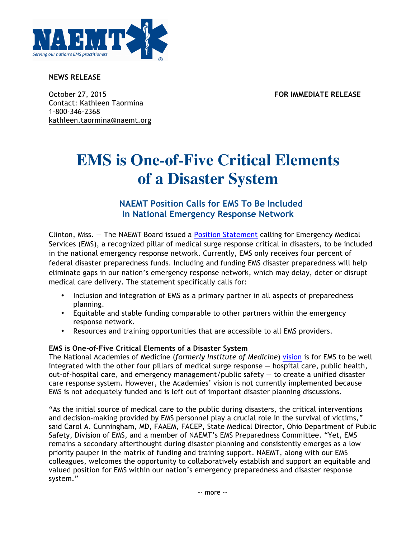

**NEWS RELEASE**

October 27, 2015 **FOR IMMEDIATE RELEASE** Contact: Kathleen Taormina 1-800-346-2368 kathleen.taormina@naemt.org

## **EMS is One-of-Five Critical Elements of a Disaster System**

## **NAEMT Position Calls for EMS To Be Included In National Emergency Response Network**

Clinton, Miss. — The NAEMT Board issued a Position Statement calling for Emergency Medical Services (EMS), a recognized pillar of medical surge response critical in disasters, to be included in the national emergency response network. Currently, EMS only receives four percent of federal disaster preparedness funds. Including and funding EMS disaster preparedness will help eliminate gaps in our nation's emergency response network, which may delay, deter or disrupt medical care delivery. The statement specifically calls for:

- Inclusion and integration of EMS as a primary partner in all aspects of preparedness planning.
- Equitable and stable funding comparable to other partners within the emergency response network.
- Resources and training opportunities that are accessible to all EMS providers.

## **EMS is One-of-Five Critical Elements of a Disaster System**

The National Academies of Medicine (*formerly Institute of Medicine*) vision is for EMS to be well integrated with the other four pillars of medical surge response — hospital care, public health, out-of-hospital care, and emergency management/public safety — to create a unified disaster care response system. However, the Academies' vision is not currently implemented because EMS is not adequately funded and is left out of important disaster planning discussions.

"As the initial source of medical care to the public during disasters, the critical interventions and decision-making provided by EMS personnel play a crucial role in the survival of victims," said Carol A. Cunningham, MD, FAAEM, FACEP, State Medical Director, Ohio Department of Public Safety, Division of EMS, and a member of NAEMT's EMS Preparedness Committee. "Yet, EMS remains a secondary afterthought during disaster planning and consistently emerges as a low priority pauper in the matrix of funding and training support. NAEMT, along with our EMS colleagues, welcomes the opportunity to collaboratively establish and support an equitable and valued position for EMS within our nation's emergency preparedness and disaster response system."